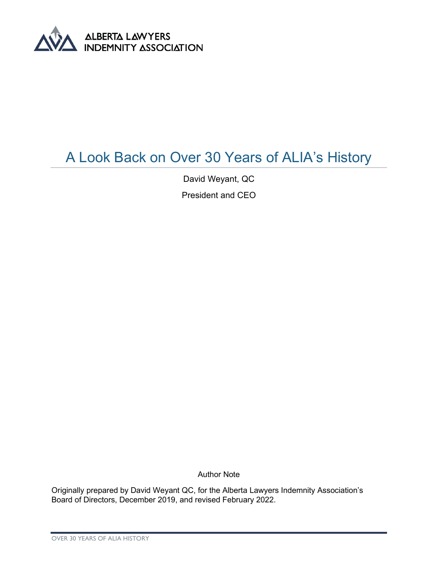

## A Look Back on Over 30 Years of ALIA's History

David Weyant, QC

President and CEO

Author Note

Originally prepared by David Weyant QC, for the Alberta Lawyers Indemnity Association's Board of Directors, December 2019, and revised February 2022.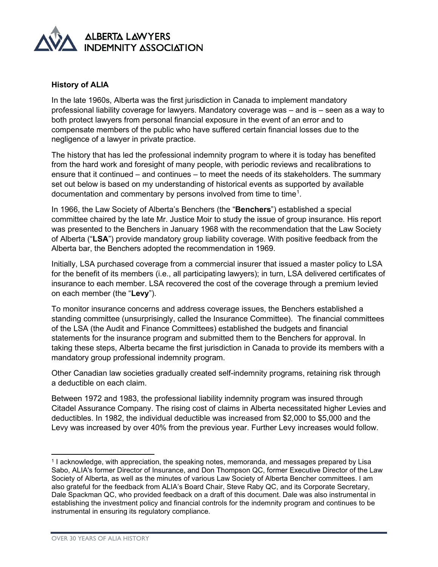

## **History of ALIA**

In the late 1960s, Alberta was the first jurisdiction in Canada to implement mandatory professional liability coverage for lawyers. Mandatory coverage was – and is – seen as a way to both protect lawyers from personal financial exposure in the event of an error and to compensate members of the public who have suffered certain financial losses due to the negligence of a lawyer in private practice.

The history that has led the professional indemnity program to where it is today has benefited from the hard work and foresight of many people, with periodic reviews and recalibrations to ensure that it continued – and continues – to meet the needs of its stakeholders. The summary set out below is based on my understanding of historical events as supported by available documentation and commentary by persons involved from time to time $^{\rm 1}.$  $^{\rm 1}.$  $^{\rm 1}.$ 

In 1966, the Law Society of Alberta's Benchers (the "**Benchers**") established a special committee chaired by the late Mr. Justice Moir to study the issue of group insurance. His report was presented to the Benchers in January 1968 with the recommendation that the Law Society of Alberta ("**LSA**") provide mandatory group liability coverage. With positive feedback from the Alberta bar, the Benchers adopted the recommendation in 1969.

Initially, LSA purchased coverage from a commercial insurer that issued a master policy to LSA for the benefit of its members (i.e., all participating lawyers); in turn, LSA delivered certificates of insurance to each member. LSA recovered the cost of the coverage through a premium levied on each member (the "**Levy**").

To monitor insurance concerns and address coverage issues, the Benchers established a standing committee (unsurprisingly, called the Insurance Committee). The financial committees of the LSA (the Audit and Finance Committees) established the budgets and financial statements for the insurance program and submitted them to the Benchers for approval. In taking these steps, Alberta became the first jurisdiction in Canada to provide its members with a mandatory group professional indemnity program.

Other Canadian law societies gradually created self-indemnity programs, retaining risk through a deductible on each claim.

Between 1972 and 1983, the professional liability indemnity program was insured through Citadel Assurance Company. The rising cost of claims in Alberta necessitated higher Levies and deductibles. In 1982, the individual deductible was increased from \$2,000 to \$5,000 and the Levy was increased by over 40% from the previous year. Further Levy increases would follow.

<span id="page-1-0"></span><sup>1</sup> I acknowledge, with appreciation, the speaking notes, memoranda, and messages prepared by Lisa Sabo, ALIA's former Director of Insurance, and Don Thompson QC, former Executive Director of the Law Society of Alberta, as well as the minutes of various Law Society of Alberta Bencher committees. I am also grateful for the feedback from ALIA's Board Chair, Steve Raby QC, and its Corporate Secretary, Dale Spackman QC, who provided feedback on a draft of this document. Dale was also instrumental in establishing the investment policy and financial controls for the indemnity program and continues to be instrumental in ensuring its regulatory compliance.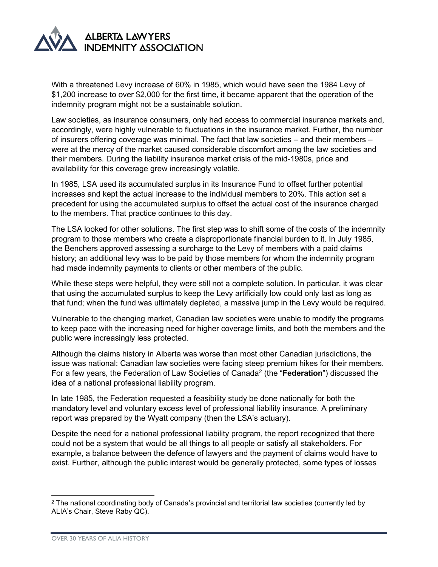

With a threatened Levy increase of 60% in 1985, which would have seen the 1984 Levy of \$1,200 increase to over \$2,000 for the first time, it became apparent that the operation of the indemnity program might not be a sustainable solution.

Law societies, as insurance consumers, only had access to commercial insurance markets and, accordingly, were highly vulnerable to fluctuations in the insurance market. Further, the number of insurers offering coverage was minimal. The fact that law societies – and their members – were at the mercy of the market caused considerable discomfort among the law societies and their members. During the liability insurance market crisis of the mid-1980s, price and availability for this coverage grew increasingly volatile.

In 1985, LSA used its accumulated surplus in its Insurance Fund to offset further potential increases and kept the actual increase to the individual members to 20%. This action set a precedent for using the accumulated surplus to offset the actual cost of the insurance charged to the members. That practice continues to this day.

The LSA looked for other solutions. The first step was to shift some of the costs of the indemnity program to those members who create a disproportionate financial burden to it. In July 1985, the Benchers approved assessing a surcharge to the Levy of members with a paid claims history; an additional levy was to be paid by those members for whom the indemnity program had made indemnity payments to clients or other members of the public.

While these steps were helpful, they were still not a complete solution. In particular, it was clear that using the accumulated surplus to keep the Levy artificially low could only last as long as that fund; when the fund was ultimately depleted, a massive jump in the Levy would be required.

Vulnerable to the changing market, Canadian law societies were unable to modify the programs to keep pace with the increasing need for higher coverage limits, and both the members and the public were increasingly less protected.

Although the claims history in Alberta was worse than most other Canadian jurisdictions, the issue was national: Canadian law societies were facing steep premium hikes for their members. For a few years, the Federation of Law Societies of Canad[a2](#page-2-0) (the "**Federation**") discussed the idea of a national professional liability program.

In late 1985, the Federation requested a feasibility study be done nationally for both the mandatory level and voluntary excess level of professional liability insurance. A preliminary report was prepared by the Wyatt company (then the LSA's actuary).

Despite the need for a national professional liability program, the report recognized that there could not be a system that would be all things to all people or satisfy all stakeholders. For example, a balance between the defence of lawyers and the payment of claims would have to exist. Further, although the public interest would be generally protected, some types of losses

<span id="page-2-0"></span><sup>2</sup> The national coordinating body of Canada's provincial and territorial law societies (currently led by ALIA's Chair, Steve Raby QC).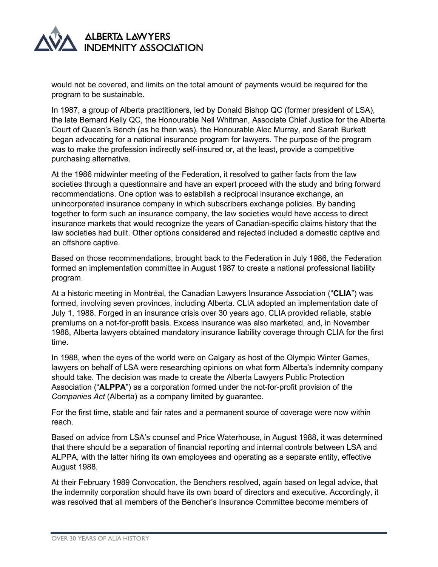

would not be covered, and limits on the total amount of payments would be required for the program to be sustainable.

In 1987, a group of Alberta practitioners, led by Donald Bishop QC (former president of LSA), the late Bernard Kelly QC, the Honourable Neil Whitman, Associate Chief Justice for the Alberta Court of Queen's Bench (as he then was), the Honourable Alec Murray, and Sarah Burkett began advocating for a national insurance program for lawyers. The purpose of the program was to make the profession indirectly self-insured or, at the least, provide a competitive purchasing alternative.

At the 1986 midwinter meeting of the Federation, it resolved to gather facts from the law societies through a questionnaire and have an expert proceed with the study and bring forward recommendations. One option was to establish a reciprocal insurance exchange, an unincorporated insurance company in which subscribers exchange policies. By banding together to form such an insurance company, the law societies would have access to direct insurance markets that would recognize the years of Canadian-specific claims history that the law societies had built. Other options considered and rejected included a domestic captive and an offshore captive.

Based on those recommendations, brought back to the Federation in July 1986, the Federation formed an implementation committee in August 1987 to create a national professional liability program.

At a historic meeting in Montréal, the Canadian Lawyers Insurance Association ("**CLIA**") was formed, involving seven provinces, including Alberta. CLIA adopted an implementation date of July 1, 1988. Forged in an insurance crisis over 30 years ago, CLIA provided reliable, stable premiums on a not-for-profit basis. Excess insurance was also marketed, and, in November 1988, Alberta lawyers obtained mandatory insurance liability coverage through CLIA for the first time.

In 1988, when the eyes of the world were on Calgary as host of the Olympic Winter Games, lawyers on behalf of LSA were researching opinions on what form Alberta's indemnity company should take. The decision was made to create the Alberta Lawyers Public Protection Association ("**ALPPA**") as a corporation formed under the not-for-profit provision of the *Companies Act* (Alberta) as a company limited by guarantee.

For the first time, stable and fair rates and a permanent source of coverage were now within reach.

Based on advice from LSA's counsel and Price Waterhouse, in August 1988, it was determined that there should be a separation of financial reporting and internal controls between LSA and ALPPA, with the latter hiring its own employees and operating as a separate entity, effective August 1988.

At their February 1989 Convocation, the Benchers resolved, again based on legal advice, that the indemnity corporation should have its own board of directors and executive. Accordingly, it was resolved that all members of the Bencher's Insurance Committee become members of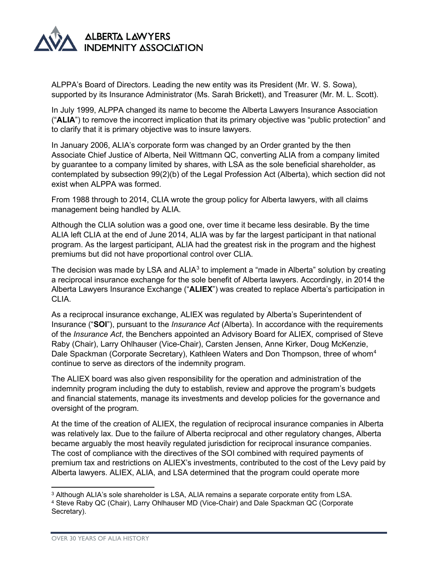

ALPPA's Board of Directors. Leading the new entity was its President (Mr. W. S. Sowa), supported by its Insurance Administrator (Ms. Sarah Brickett), and Treasurer (Mr. M. L. Scott).

In July 1999, ALPPA changed its name to become the Alberta Lawyers Insurance Association ("**ALIA**") to remove the incorrect implication that its primary objective was "public protection" and to clarify that it is primary objective was to insure lawyers.

In January 2006, ALIA's corporate form was changed by an Order granted by the then Associate Chief Justice of Alberta, Neil Wittmann QC, converting ALIA from a company limited by guarantee to a company limited by shares, with LSA as the sole beneficial shareholder, as contemplated by subsection 99(2)(b) of the Legal Profession Act (Alberta), which section did not exist when ALPPA was formed.

From 1988 through to 2014, CLIA wrote the group policy for Alberta lawyers, with all claims management being handled by ALIA.

Although the CLIA solution was a good one, over time it became less desirable. By the time ALIA left CLIA at the end of June 2014, ALIA was by far the largest participant in that national program. As the largest participant, ALIA had the greatest risk in the program and the highest premiums but did not have proportional control over CLIA.

The decision was made by LSA and  $ALIA<sup>3</sup>$  $ALIA<sup>3</sup>$  $ALIA<sup>3</sup>$  to implement a "made in Alberta" solution by creating a reciprocal insurance exchange for the sole benefit of Alberta lawyers. Accordingly, in 2014 the Alberta Lawyers Insurance Exchange ("**ALIEX**") was created to replace Alberta's participation in CLIA.

As a reciprocal insurance exchange, ALIEX was regulated by Alberta's Superintendent of Insurance ("**SOI**"), pursuant to the *Insurance Act* (Alberta). In accordance with the requirements of the *Insurance Act*, the Benchers appointed an Advisory Board for ALIEX, comprised of Steve Raby (Chair), Larry Ohlhauser (Vice-Chair), Carsten Jensen, Anne Kirker, Doug McKenzie, Dale Spackman (Corporate Secretary), Kathleen Waters and Don Thompson, three of whom<sup>4</sup> continue to serve as directors of the indemnity program.

The ALIEX board was also given responsibility for the operation and administration of the indemnity program including the duty to establish, review and approve the program's budgets and financial statements, manage its investments and develop policies for the governance and oversight of the program.

At the time of the creation of ALIEX, the regulation of reciprocal insurance companies in Alberta was relatively lax. Due to the failure of Alberta reciprocal and other regulatory changes, Alberta became arguably the most heavily regulated jurisdiction for reciprocal insurance companies. The cost of compliance with the directives of the SOI combined with required payments of premium tax and restrictions on ALIEX's investments, contributed to the cost of the Levy paid by Alberta lawyers. ALIEX, ALIA, and LSA determined that the program could operate more

<span id="page-4-0"></span><sup>&</sup>lt;sup>3</sup> Although ALIA's sole shareholder is LSA, ALIA remains a separate corporate entity from LSA.

<span id="page-4-1"></span><sup>4</sup> Steve Raby QC (Chair), Larry Ohlhauser MD (Vice-Chair) and Dale Spackman QC (Corporate Secretary).